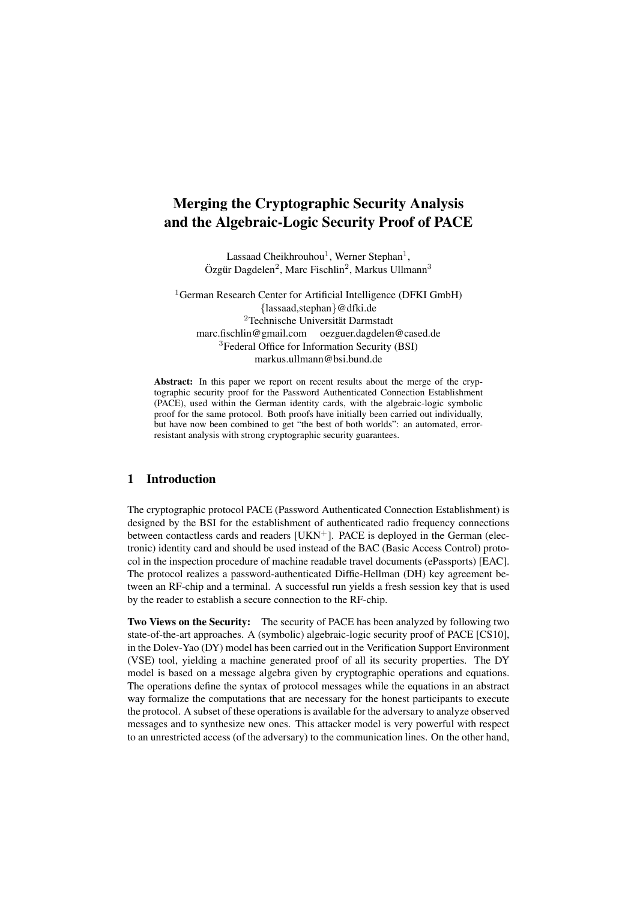# Merging the Cryptographic Security Analysis and the Algebraic-Logic Security Proof of PACE

Lassaad Cheikhrouhou<sup>1</sup>, Werner Stephan<sup>1</sup>, Özgür Dagdelen<sup>2</sup>, Marc Fischlin<sup>2</sup>, Markus Ullmann<sup>3</sup>

<sup>1</sup>German Research Center for Artificial Intelligence (DFKI GmbH) {lassaad,stephan}@dfki.de  ${}^{2}$ Technische Universität Darmstadt marc.fischlin@gmail.com oezguer.dagdelen@cased.de <sup>3</sup>Federal Office for Information Security (BSI) markus.ullmann@bsi.bund.de

Abstract: In this paper we report on recent results about the merge of the cryptographic security proof for the Password Authenticated Connection Establishment (PACE), used within the German identity cards, with the algebraic-logic symbolic proof for the same protocol. Both proofs have initially been carried out individually, but have now been combined to get "the best of both worlds": an automated, errorresistant analysis with strong cryptographic security guarantees.

### 1 Introduction

The cryptographic protocol PACE (Password Authenticated Connection Establishment) is designed by the BSI for the establishment of authenticated radio frequency connections between contactless cards and readers [UKN<sup>+</sup>]. PACE is deployed in the German (electronic) identity card and should be used instead of the BAC (Basic Access Control) protocol in the inspection procedure of machine readable travel documents (ePassports) [EAC]. The protocol realizes a password-authenticated Diffie-Hellman (DH) key agreement between an RF-chip and a terminal. A successful run yields a fresh session key that is used by the reader to establish a secure connection to the RF-chip.

Two Views on the Security: The security of PACE has been analyzed by following two state-of-the-art approaches. A (symbolic) algebraic-logic security proof of PACE [CS10], in the Dolev-Yao (DY) model has been carried out in the Verification Support Environment (VSE) tool, yielding a machine generated proof of all its security properties. The DY model is based on a message algebra given by cryptographic operations and equations. The operations define the syntax of protocol messages while the equations in an abstract way formalize the computations that are necessary for the honest participants to execute the protocol. A subset of these operations is available for the adversary to analyze observed messages and to synthesize new ones. This attacker model is very powerful with respect to an unrestricted access (of the adversary) to the communication lines. On the other hand,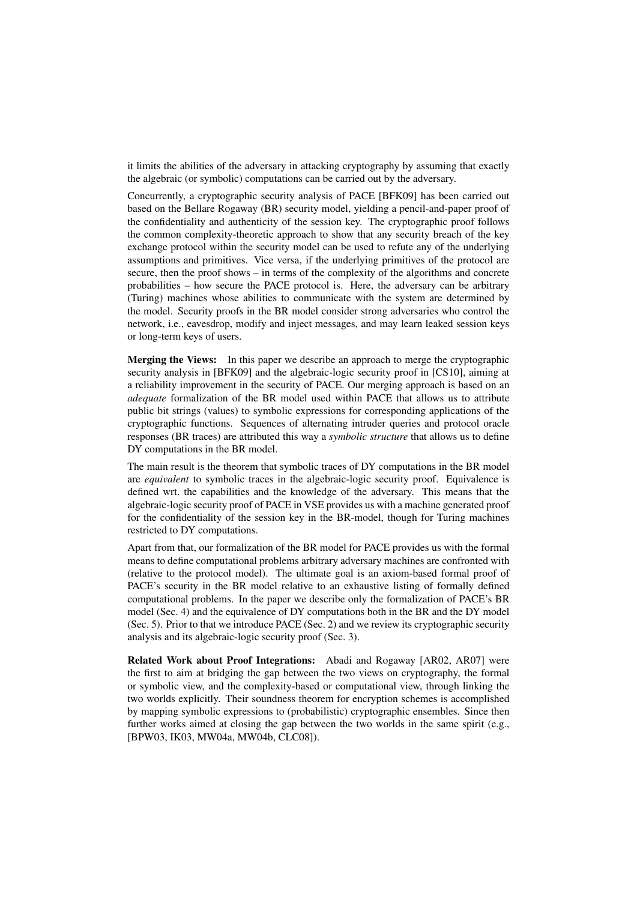it limits the abilities of the adversary in attacking cryptography by assuming that exactly the algebraic (or symbolic) computations can be carried out by the adversary.

Concurrently, a cryptographic security analysis of PACE [BFK09] has been carried out based on the Bellare Rogaway (BR) security model, yielding a pencil-and-paper proof of the confidentiality and authenticity of the session key. The cryptographic proof follows the common complexity-theoretic approach to show that any security breach of the key exchange protocol within the security model can be used to refute any of the underlying assumptions and primitives. Vice versa, if the underlying primitives of the protocol are secure, then the proof shows – in terms of the complexity of the algorithms and concrete probabilities – how secure the PACE protocol is. Here, the adversary can be arbitrary (Turing) machines whose abilities to communicate with the system are determined by the model. Security proofs in the BR model consider strong adversaries who control the network, i.e., eavesdrop, modify and inject messages, and may learn leaked session keys or long-term keys of users.

Merging the Views: In this paper we describe an approach to merge the cryptographic security analysis in [BFK09] and the algebraic-logic security proof in [CS10], aiming at a reliability improvement in the security of PACE. Our merging approach is based on an *adequate* formalization of the BR model used within PACE that allows us to attribute public bit strings (values) to symbolic expressions for corresponding applications of the cryptographic functions. Sequences of alternating intruder queries and protocol oracle responses (BR traces) are attributed this way a *symbolic structure* that allows us to define DY computations in the BR model.

The main result is the theorem that symbolic traces of DY computations in the BR model are *equivalent* to symbolic traces in the algebraic-logic security proof. Equivalence is defined wrt. the capabilities and the knowledge of the adversary. This means that the algebraic-logic security proof of PACE in VSE provides us with a machine generated proof for the confidentiality of the session key in the BR-model, though for Turing machines restricted to DY computations.

Apart from that, our formalization of the BR model for PACE provides us with the formal means to define computational problems arbitrary adversary machines are confronted with (relative to the protocol model). The ultimate goal is an axiom-based formal proof of PACE's security in the BR model relative to an exhaustive listing of formally defined computational problems. In the paper we describe only the formalization of PACE's BR model (Sec. 4) and the equivalence of DY computations both in the BR and the DY model (Sec. 5). Prior to that we introduce PACE (Sec. 2) and we review its cryptographic security analysis and its algebraic-logic security proof (Sec. 3).

Related Work about Proof Integrations: Abadi and Rogaway [AR02, AR07] were the first to aim at bridging the gap between the two views on cryptography, the formal or symbolic view, and the complexity-based or computational view, through linking the two worlds explicitly. Their soundness theorem for encryption schemes is accomplished by mapping symbolic expressions to (probabilistic) cryptographic ensembles. Since then further works aimed at closing the gap between the two worlds in the same spirit (e.g., [BPW03, IK03, MW04a, MW04b, CLC08]).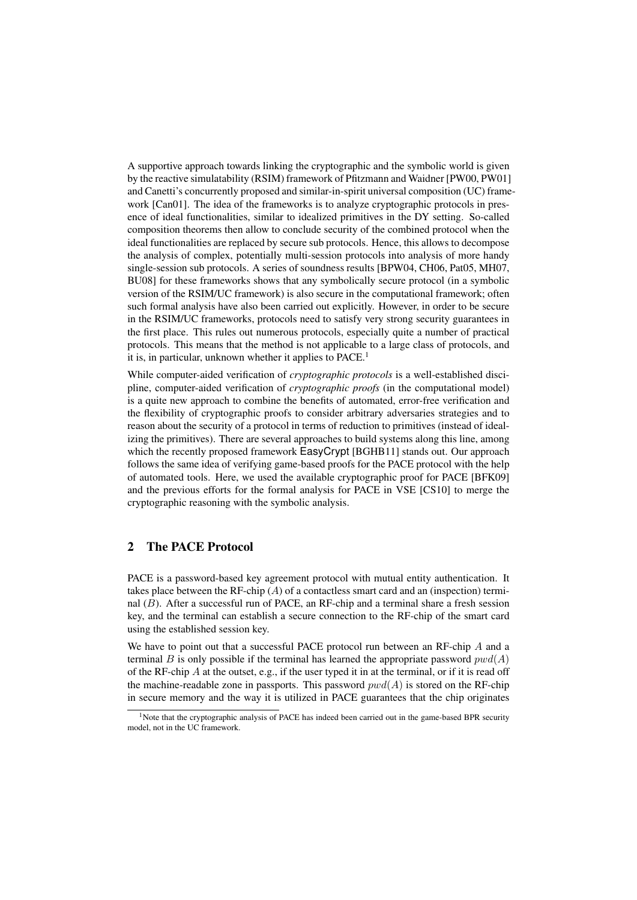A supportive approach towards linking the cryptographic and the symbolic world is given by the reactive simulatability (RSIM) framework of Pfitzmann and Waidner [PW00, PW01] and Canetti's concurrently proposed and similar-in-spirit universal composition (UC) framework [Can01]. The idea of the frameworks is to analyze cryptographic protocols in presence of ideal functionalities, similar to idealized primitives in the DY setting. So-called composition theorems then allow to conclude security of the combined protocol when the ideal functionalities are replaced by secure sub protocols. Hence, this allows to decompose the analysis of complex, potentially multi-session protocols into analysis of more handy single-session sub protocols. A series of soundness results [BPW04, CH06, Pat05, MH07, BU08] for these frameworks shows that any symbolically secure protocol (in a symbolic version of the RSIM/UC framework) is also secure in the computational framework; often such formal analysis have also been carried out explicitly. However, in order to be secure in the RSIM/UC frameworks, protocols need to satisfy very strong security guarantees in the first place. This rules out numerous protocols, especially quite a number of practical protocols. This means that the method is not applicable to a large class of protocols, and it is, in particular, unknown whether it applies to PACE.<sup>1</sup>

While computer-aided verification of *cryptographic protocols* is a well-established discipline, computer-aided verification of *cryptographic proofs* (in the computational model) is a quite new approach to combine the benefits of automated, error-free verification and the flexibility of cryptographic proofs to consider arbitrary adversaries strategies and to reason about the security of a protocol in terms of reduction to primitives (instead of idealizing the primitives). There are several approaches to build systems along this line, among which the recently proposed framework **EasyCrypt** [BGHB11] stands out. Our approach follows the same idea of verifying game-based proofs for the PACE protocol with the help of automated tools. Here, we used the available cryptographic proof for PACE [BFK09] and the previous efforts for the formal analysis for PACE in VSE [CS10] to merge the cryptographic reasoning with the symbolic analysis.

# 2 The PACE Protocol

PACE is a password-based key agreement protocol with mutual entity authentication. It takes place between the RF-chip  $(A)$  of a contactless smart card and an (inspection) terminal (B). After a successful run of PACE, an RF-chip and a terminal share a fresh session key, and the terminal can establish a secure connection to the RF-chip of the smart card using the established session key.

We have to point out that a successful PACE protocol run between an RF-chip A and a terminal B is only possible if the terminal has learned the appropriate password  $pwd(A)$ of the RF-chip  $A$  at the outset, e.g., if the user typed it in at the terminal, or if it is read off the machine-readable zone in passports. This password  $pwd(A)$  is stored on the RF-chip in secure memory and the way it is utilized in PACE guarantees that the chip originates

<sup>&</sup>lt;sup>1</sup>Note that the cryptographic analysis of PACE has indeed been carried out in the game-based BPR security model, not in the UC framework.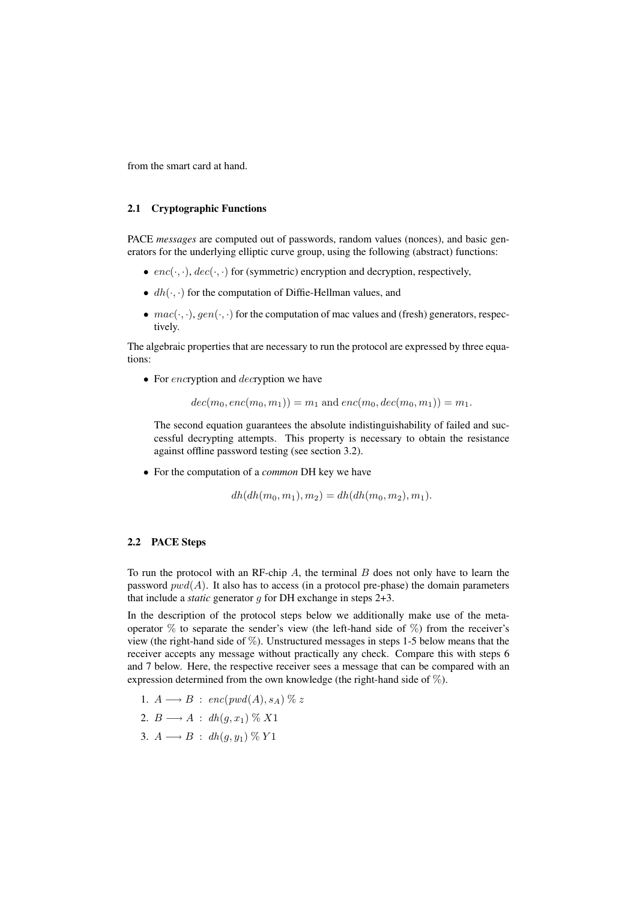from the smart card at hand.

#### 2.1 Cryptographic Functions

PACE *messages* are computed out of passwords, random values (nonces), and basic generators for the underlying elliptic curve group, using the following (abstract) functions:

- $enc(\cdot, \cdot)$ ,  $dec(\cdot, \cdot)$  for (symmetric) encryption and decryption, respectively,
- $dh(\cdot, \cdot)$  for the computation of Diffie-Hellman values, and
- $mac(\cdot, \cdot), gen(\cdot, \cdot)$  for the computation of mac values and (fresh) generators, respectively.

The algebraic properties that are necessary to run the protocol are expressed by three equations:

• For encryption and *decryption* we have

 $dec(m_0, enc(m_0, m_1)) = m_1$  and  $enc(m_0, dec(m_0, m_1)) = m_1$ .

The second equation guarantees the absolute indistinguishability of failed and successful decrypting attempts. This property is necessary to obtain the resistance against offline password testing (see section 3.2).

• For the computation of a *common* DH key we have

 $dh(dh(m_0, m_1), m_2) = dh(dh(m_0, m_2), m_1).$ 

#### 2.2 PACE Steps

To run the protocol with an RF-chip A, the terminal  $B$  does not only have to learn the password  $pwd(A)$ . It also has to access (in a protocol pre-phase) the domain parameters that include a *static* generator  $q$  for DH exchange in steps  $2+3$ .

In the description of the protocol steps below we additionally make use of the metaoperator  $\%$  to separate the sender's view (the left-hand side of  $\%$ ) from the receiver's view (the right-hand side of %). Unstructured messages in steps 1-5 below means that the receiver accepts any message without practically any check. Compare this with steps 6 and 7 below. Here, the respective receiver sees a message that can be compared with an expression determined from the own knowledge (the right-hand side of %).

- 1.  $A \longrightarrow B$ : enc(pwd(A), s<sub>A</sub>)  $\% z$
- 2.  $B \longrightarrow A$ :  $dh(q, x_1) \% X1$
- 3.  $A \longrightarrow B$  :  $dh(q, y_1) \% Y1$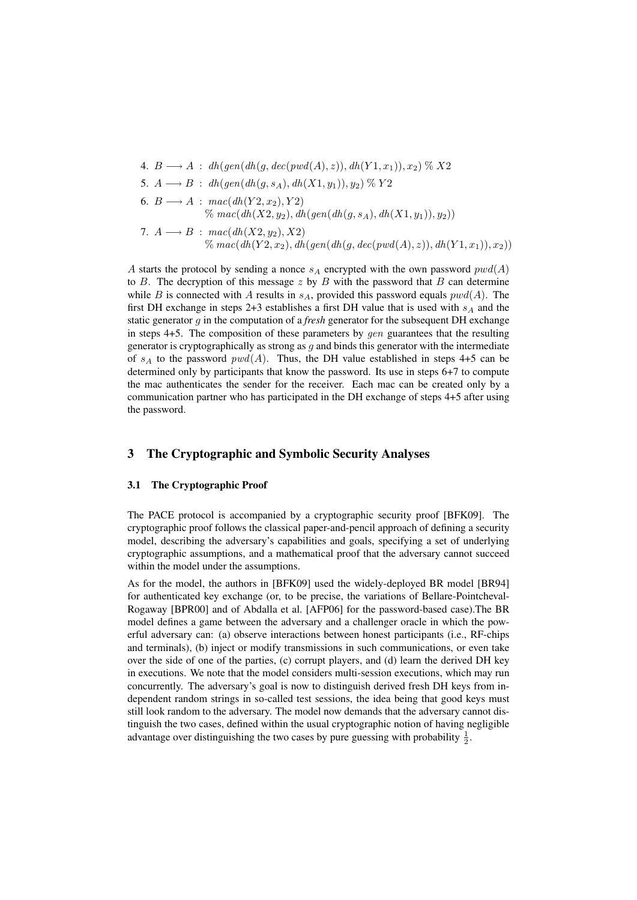4. 
$$
B \longrightarrow A
$$
:  $dh(gen(dh(g, dec(pwd(A), z)), dh(Y1, x_1)), x_2) \%$  X2  
\n5.  $A \longrightarrow B$ :  $dh(gen(dh(g, s_A), dh(X1, y_1)), y_2) \%$  Y2  
\n6.  $B \longrightarrow A$ :  $mac(dh(Y2, x_2), Y2)$   
\n $\% mac(dh(X2, y_2), dh(gen(dh(g, s_A), dh(X1, y_1)), y_2))$   
\n7.  $A \longrightarrow B$ :  $mac(dh(X2, y_2), X2)$   
\n $\% mac(dh(Y2, x_2), dh(gen(dh(g, dec(pwd(A), z)), dh(Y1, x_1)), x_2))$ 

A starts the protocol by sending a nonce  $s_A$  encrypted with the own password  $pwd(A)$ to B. The decryption of this message z by B with the password that B can determine while B is connected with A results in  $s_A$ , provided this password equals  $pwd(A)$ . The first DH exchange in steps 2+3 establishes a first DH value that is used with  $s_A$  and the static generator g in the computation of a *fresh* generator for the subsequent DH exchange in steps  $4+5$ . The composition of these parameters by *gen* guarantees that the resulting generator is cryptographically as strong as  $g$  and binds this generator with the intermediate of  $s_A$  to the password  $pwd(A)$ . Thus, the DH value established in steps 4+5 can be determined only by participants that know the password. Its use in steps 6+7 to compute the mac authenticates the sender for the receiver. Each mac can be created only by a communication partner who has participated in the DH exchange of steps 4+5 after using the password.

# 3 The Cryptographic and Symbolic Security Analyses

#### 3.1 The Cryptographic Proof

The PACE protocol is accompanied by a cryptographic security proof [BFK09]. The cryptographic proof follows the classical paper-and-pencil approach of defining a security model, describing the adversary's capabilities and goals, specifying a set of underlying cryptographic assumptions, and a mathematical proof that the adversary cannot succeed within the model under the assumptions.

As for the model, the authors in [BFK09] used the widely-deployed BR model [BR94] for authenticated key exchange (or, to be precise, the variations of Bellare-Pointcheval-Rogaway [BPR00] and of Abdalla et al. [AFP06] for the password-based case).The BR model defines a game between the adversary and a challenger oracle in which the powerful adversary can: (a) observe interactions between honest participants (i.e., RF-chips and terminals), (b) inject or modify transmissions in such communications, or even take over the side of one of the parties, (c) corrupt players, and (d) learn the derived DH key in executions. We note that the model considers multi-session executions, which may run concurrently. The adversary's goal is now to distinguish derived fresh DH keys from independent random strings in so-called test sessions, the idea being that good keys must still look random to the adversary. The model now demands that the adversary cannot distinguish the two cases, defined within the usual cryptographic notion of having negligible advantage over distinguishing the two cases by pure guessing with probability  $\frac{1}{2}$ .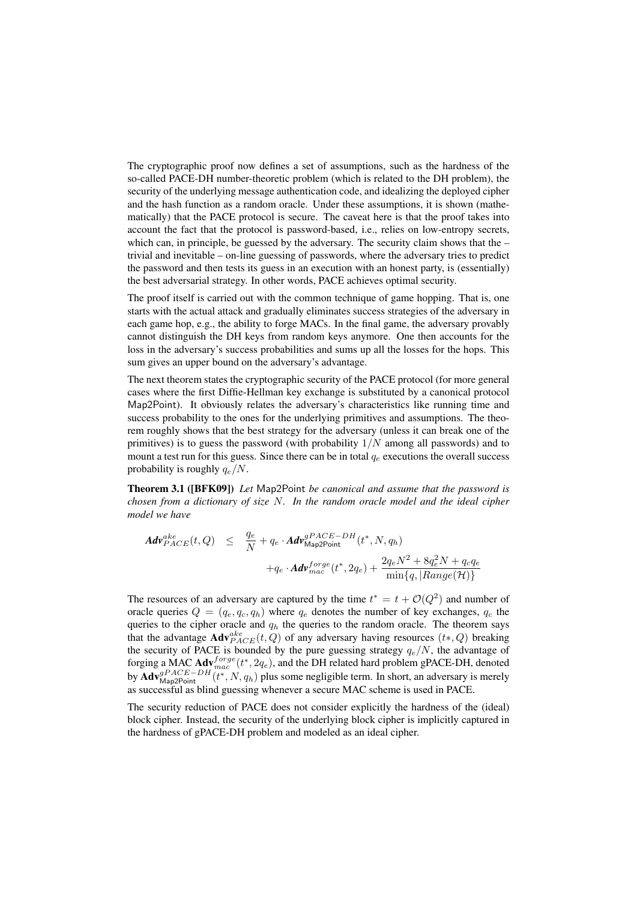The cryptographic proof now defines a set of assumptions, such as the hardness of the so-called PACE-DH number-theoretic problem (which is related to the DH problem), the security of the underlying message authentication code, and idealizing the deployed cipher and the hash function as a random oracle. Under these assumptions, it is shown (mathematically) that the PACE protocol is secure. The caveat here is that the proof takes into account the fact that the protocol is password-based, i.e., relies on low-entropy secrets, which can, in principle, be guessed by the adversary. The security claim shows that the – trivial and inevitable – on-line guessing of passwords, where the adversary tries to predict the password and then tests its guess in an execution with an honest party, is (essentially) the best adversarial strategy. In other words, PACE achieves optimal security.

The proof itself is carried out with the common technique of game hopping. That is, one starts with the actual attack and gradually eliminates success strategies of the adversary in each game hop, e.g., the ability to forge MACs. In the final game, the adversary provably cannot distinguish the DH keys from random keys anymore. One then accounts for the loss in the adversary's success probabilities and sums up all the losses for the hops. This sum gives an upper bound on the adversary's advantage.

The next theorem states the cryptographic security of the PACE protocol (for more general cases where the first Diffie-Hellman key exchange is substituted by a canonical protocol Map2Point). It obviously relates the adversary's characteristics like running time and success probability to the ones for the underlying primitives and assumptions. The theorem roughly shows that the best strategy for the adversary (unless it can break one of the primitives) is to guess the password (with probability  $1/N$  among all passwords) and to mount a test run for this guess. Since there can be in total  $q_e$  executions the overall success probability is roughly  $q_e/N$ .

Theorem 3.1 ([BFK09]) *Let* Map2Point *be canonical and assume that the password is chosen from a dictionary of size* N*. In the random oracle model and the ideal cipher model we have*

$$
Ad\nu_{PACE}^{ake}(t, Q) \leq \frac{q_e}{N} + q_e \cdot Ad\nu_{\text{Map2Point}}^{gPACE-DH}(t^*, N, q_h)
$$
  
+ 
$$
+ q_e \cdot Ad\nu_{mac}^{forge}(t^*, 2q_e) + \frac{2q_e N^2 + 8q_e^2 N + q_c q_e}{\min\{q, |Range(\mathcal{H})\}}
$$

The resources of an adversary are captured by the time  $t^* = t + \mathcal{O}(Q^2)$  and number of oracle queries  $Q = (q_e, q_c, q_h)$  where  $q_e$  denotes the number of key exchanges,  $q_c$  the queries to the cipher oracle and  $q<sub>h</sub>$  the queries to the random oracle. The theorem says that the advantage  $\mathbf{Adv}_{PACE}^{ake}(t, Q)$  of any adversary having resources  $(t*, Q)$  breaking the security of PACE is bounded by the pure guessing strategy  $q_e/N$ , the advantage of forging a MAC  $\text{Adv}^{forge}_{mac}(t^*, 2q_e)$ , and the DH related hard problem gPACE-DH, denoted by  $\text{Adv}_{\text{Map2Point}}^{gPACE-DH}(t^*, N, q_h)$  plus some negligible term. In short, an adversary is merely as successful as blind guessing whenever a secure MAC scheme is used in PACE.

The security reduction of PACE does not consider explicitly the hardness of the (ideal) block cipher. Instead, the security of the underlying block cipher is implicitly captured in the hardness of gPACE-DH problem and modeled as an ideal cipher.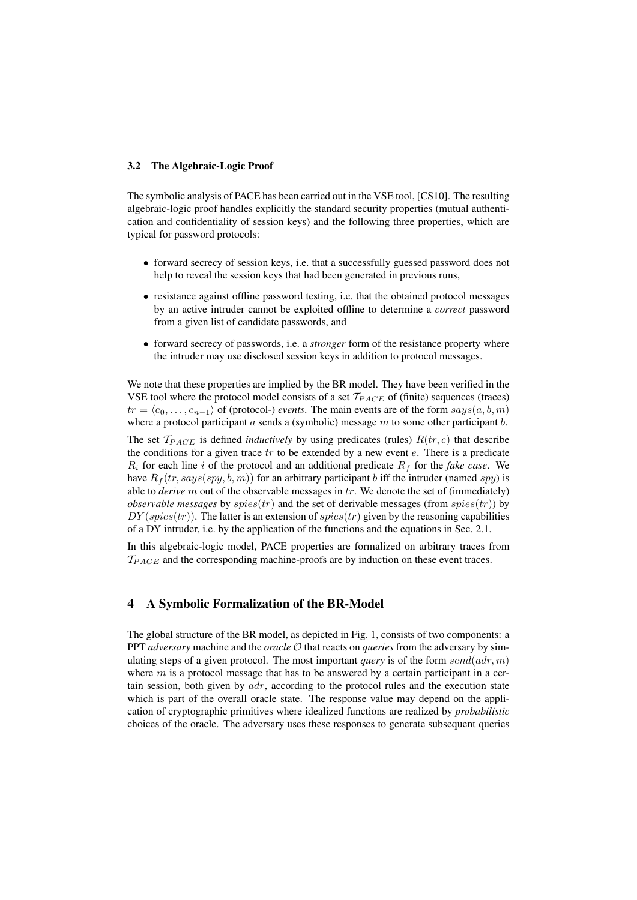#### 3.2 The Algebraic-Logic Proof

The symbolic analysis of PACE has been carried out in the VSE tool, [CS10]. The resulting algebraic-logic proof handles explicitly the standard security properties (mutual authentication and confidentiality of session keys) and the following three properties, which are typical for password protocols:

- forward secrecy of session keys, i.e. that a successfully guessed password does not help to reveal the session keys that had been generated in previous runs,
- resistance against offline password testing, i.e. that the obtained protocol messages by an active intruder cannot be exploited offline to determine a *correct* password from a given list of candidate passwords, and
- forward secrecy of passwords, i.e. a *stronger* form of the resistance property where the intruder may use disclosed session keys in addition to protocol messages.

We note that these properties are implied by the BR model. They have been verified in the VSE tool where the protocol model consists of a set  $T_{PACE}$  of (finite) sequences (traces)  $tr = \langle e_0, \ldots, e_{n-1} \rangle$  of (protocol-) *events*. The main events are of the form  $says(a, b, m)$ where a protocol participant  $a$  sends a (symbolic) message  $m$  to some other participant  $b$ .

The set  $T_{PACE}$  is defined *inductively* by using predicates (rules)  $R(tr, e)$  that describe the conditions for a given trace  $tr$  to be extended by a new event  $e$ . There is a predicate  $R_i$  for each line i of the protocol and an additional predicate  $R_f$  for the *fake case*. We have  $R_f(tr, says(spy, b, m))$  for an arbitrary participant b iff the intruder (named spy) is able to *derive* m out of the observable messages in tr. We denote the set of (immediately) *observable messages* by  $spies(tr)$  and the set of derivable messages (from  $spies(tr)$ ) by  $DY(spies(tr))$ . The latter is an extension of  $spies(tr)$  given by the reasoning capabilities of a DY intruder, i.e. by the application of the functions and the equations in Sec. 2.1.

In this algebraic-logic model, PACE properties are formalized on arbitrary traces from  $T_{PACE}$  and the corresponding machine-proofs are by induction on these event traces.

# 4 A Symbolic Formalization of the BR-Model

The global structure of the BR model, as depicted in Fig. 1, consists of two components: a PPT *adversary* machine and the *oracle* O that reacts on *queries* from the adversary by simulating steps of a given protocol. The most important *query* is of the form  $send(adr, m)$ where  $m$  is a protocol message that has to be answered by a certain participant in a certain session, both given by  $adr$ , according to the protocol rules and the execution state which is part of the overall oracle state. The response value may depend on the application of cryptographic primitives where idealized functions are realized by *probabilistic* choices of the oracle. The adversary uses these responses to generate subsequent queries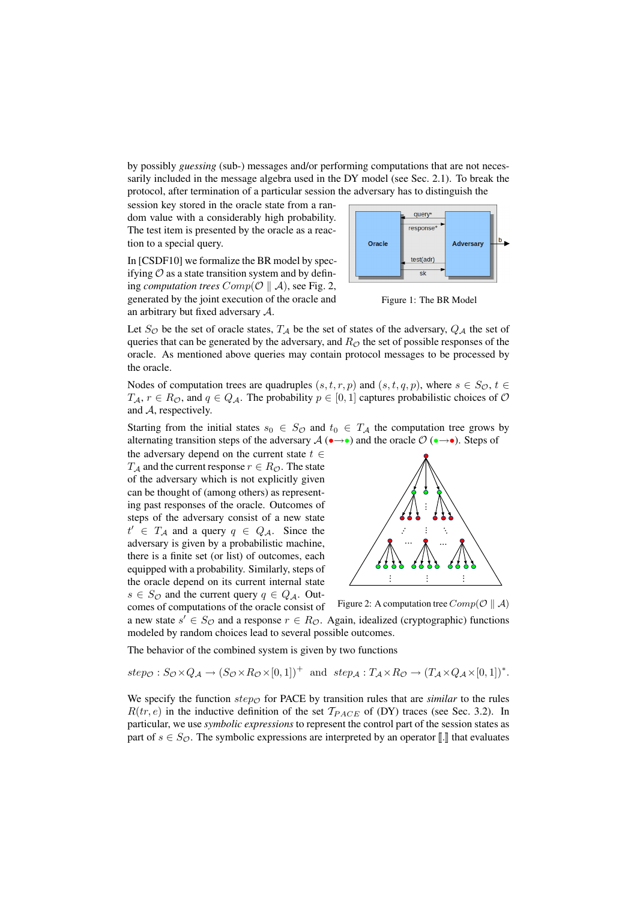by possibly *guessing* (sub-) messages and/or performing computations that are not necessarily included in the message algebra used in the DY model (see Sec. 2.1). To break the protocol, after termination of a particular session the adversary has to distinguish the

session key stored in the oracle state from a random value with a considerably high probability. The test item is presented by the oracle as a reaction to a special query.

In [CSDF10] we formalize the BR model by specifying  $\mathcal O$  as a state transition system and by defining *computation trees*  $Comp(\mathcal{O} \parallel A)$ , see Fig. 2, generated by the joint execution of the oracle and an arbitrary but fixed adversary A.



Figure 1: The BR Model

Let  $S_{\mathcal{O}}$  be the set of oracle states,  $T_A$  be the set of states of the adversary,  $Q_A$  the set of queries that can be generated by the adversary, and  $R_{\mathcal{O}}$  the set of possible responses of the oracle. As mentioned above queries may contain protocol messages to be processed by the oracle.

Nodes of computation trees are quadruples  $(s, t, r, p)$  and  $(s, t, q, p)$ , where  $s \in S_{\mathcal{O}}$ ,  $t \in$  $T_A$ ,  $r \in R_{\mathcal{O}}$ , and  $q \in Q_A$ . The probability  $p \in [0, 1]$  captures probabilistic choices of  $\mathcal{O}$ and A, respectively.

Starting from the initial states  $s_0 \in S_{\mathcal{O}}$  and  $t_0 \in T_A$  the computation tree grows by alternating transition steps of the adversary  $\mathcal{A}(\bullet \rightarrow \bullet)$  and the oracle  $\mathcal{O}(\bullet \rightarrow \bullet)$ . Steps of

the adversary depend on the current state  $t \in$  $T_A$  and the current response  $r \in R_{\mathcal{O}}$ . The state of the adversary which is not explicitly given can be thought of (among others) as representing past responses of the oracle. Outcomes of steps of the adversary consist of a new state  $t' \in T_A$  and a query  $q \in Q_A$ . Since the adversary is given by a probabilistic machine, there is a finite set (or list) of outcomes, each equipped with a probability. Similarly, steps of the oracle depend on its current internal state  $s \in S_{\mathcal{O}}$  and the current query  $q \in Q_{\mathcal{A}}$ . Out-



Figure 2: A computation tree  $Comp(\mathcal{O} \parallel \mathcal{A})$ comes of computations of the oracle consist of a new state  $s' \in S_{\mathcal{O}}$  and a response  $r \in R_{\mathcal{O}}$ . Again, idealized (cryptographic) functions modeled by random choices lead to several possible outcomes.

The behavior of the combined system is given by two functions

$$
step_{\mathcal{O}}: S_{\mathcal{O}} \times Q_{\mathcal{A}} \rightarrow (S_{\mathcal{O}} \times R_{\mathcal{O}} \times [0,1])^+ \text{ and } step_{\mathcal{A}}: T_{\mathcal{A}} \times R_{\mathcal{O}} \rightarrow (T_{\mathcal{A}} \times Q_{\mathcal{A}} \times [0,1])^*.
$$

We specify the function  $step_{\mathcal{O}}$  for PACE by transition rules that are *similar* to the rules  $R(tr, e)$  in the inductive definition of the set  $T_{PACE}$  of (DY) traces (see Sec. 3.2). In particular, we use *symbolic expressions* to represent the control part of the session states as part of  $s \in S_{\mathcal{O}}$ . The symbolic expressions are interpreted by an operator  $\llbracket \cdot \rrbracket$  that evaluates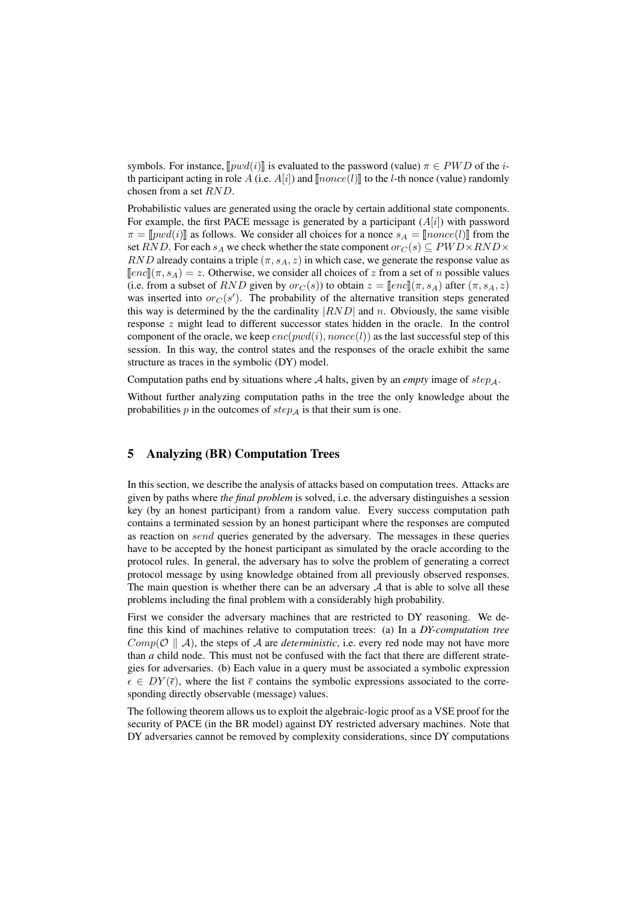symbols. For instance,  $[pwd(i)]$  is evaluated to the password (value)  $\pi \in PWD$  of the *i*th participant acting in role A (i.e.  $A[i]$ ) and  $\llbracket none(l)\rrbracket$  to the *l*-th nonce (value) randomly chosen from a set RND.

Probabilistic values are generated using the oracle by certain additional state components. For example, the first PACE message is generated by a participant  $(A[i])$  with password  $\pi = [pwd(i)]$  as follows. We consider all choices for a nonce  $s_A = [none(l)]$  from the set RND. For each  $s_A$  we check whether the state component  $or_C(s) \subseteq PWD \times RND \times$ RND already contains a triple  $(\pi, s_A, z)$  in which case, we generate the response value as  $\lceil\text{enc}\rceil(\pi, s_A) = z$ . Otherwise, we consider all choices of z from a set of n possible values (i.e. from a subset of RND given by  $or_C(s)$ ) to obtain  $z = [enc](\pi, s_A)$  after  $(\pi, s_A, z)$ was inserted into  $or_C(s')$ . The probability of the alternative transition steps generated this way is determined by the the cardinality  $|RND|$  and n. Obviously, the same visible response z might lead to different successor states hidden in the oracle. In the control component of the oracle, we keep  $enc(pwd(i), nonce(l))$  as the last successful step of this session. In this way, the control states and the responses of the oracle exhibit the same structure as traces in the symbolic (DY) model.

Computation paths end by situations where  $A$  halts, given by an *empty* image of  $step_A$ .

Without further analyzing computation paths in the tree the only knowledge about the probabilities  $p$  in the outcomes of  $step_A$  is that their sum is one.

# 5 Analyzing (BR) Computation Trees

In this section, we describe the analysis of attacks based on computation trees. Attacks are given by paths where *the final problem* is solved, i.e. the adversary distinguishes a session key (by an honest participant) from a random value. Every success computation path contains a terminated session by an honest participant where the responses are computed as reaction on send queries generated by the adversary. The messages in these queries have to be accepted by the honest participant as simulated by the oracle according to the protocol rules. In general, the adversary has to solve the problem of generating a correct protocol message by using knowledge obtained from all previously observed responses. The main question is whether there can be an adversary  $A$  that is able to solve all these problems including the final problem with a considerably high probability.

First we consider the adversary machines that are restricted to DY reasoning. We define this kind of machines relative to computation trees: (a) In a *DY-computation tree*  $Comp(\mathcal{O} \parallel A)$ , the steps of A are *deterministic*, i.e. every red node may not have more than *a* child node. This must not be confused with the fact that there are different strategies for adversaries. (b) Each value in a query must be associated a symbolic expression  $\epsilon \in DY(\bar{\epsilon})$ , where the list  $\bar{\epsilon}$  contains the symbolic expressions associated to the corresponding directly observable (message) values.

The following theorem allows us to exploit the algebraic-logic proof as a VSE proof for the security of PACE (in the BR model) against DY restricted adversary machines. Note that DY adversaries cannot be removed by complexity considerations, since DY computations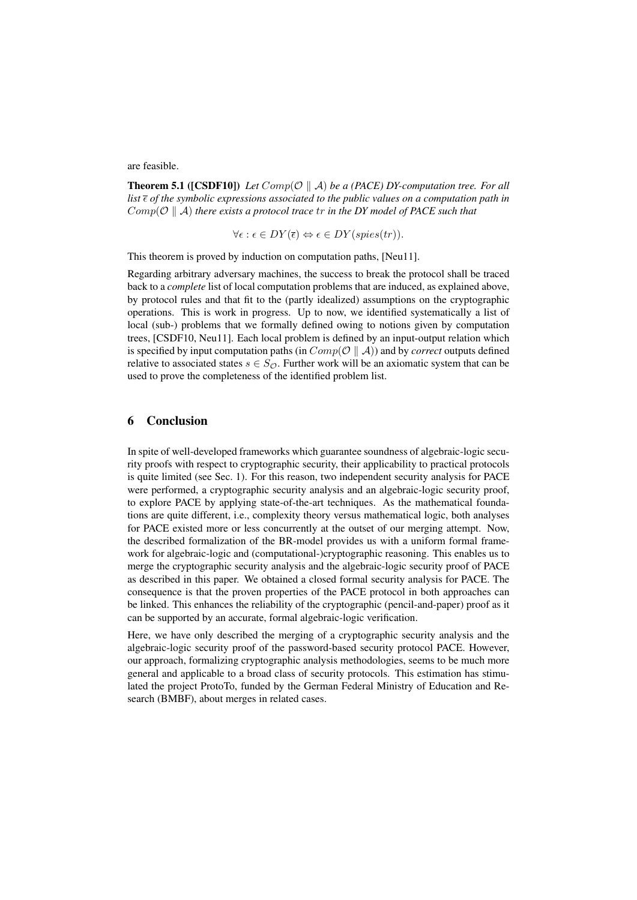are feasible.

**Theorem 5.1** ([CSDF10]) Let  $Comp(\mathcal{O} \parallel A)$  be a (PACE) DY-computation tree. For all *list of the symbolic expressions associated to the public values on a computation path in*  $Comp(\mathcal{O} \parallel A)$  *there exists a protocol trace tr in the DY model of PACE such that* 

$$
\forall \epsilon : \epsilon \in DY(\overline{\epsilon}) \Leftrightarrow \epsilon \in DY(spies(tr)).
$$

This theorem is proved by induction on computation paths, [Neu11].

Regarding arbitrary adversary machines, the success to break the protocol shall be traced back to a *complete* list of local computation problems that are induced, as explained above, by protocol rules and that fit to the (partly idealized) assumptions on the cryptographic operations. This is work in progress. Up to now, we identified systematically a list of local (sub-) problems that we formally defined owing to notions given by computation trees, [CSDF10, Neu11]. Each local problem is defined by an input-output relation which is specified by input computation paths (in  $Comp(\mathcal{O} \parallel A)$ ) and by *correct* outputs defined relative to associated states  $s \in S_{\mathcal{O}}$ . Further work will be an axiomatic system that can be used to prove the completeness of the identified problem list.

### 6 Conclusion

In spite of well-developed frameworks which guarantee soundness of algebraic-logic security proofs with respect to cryptographic security, their applicability to practical protocols is quite limited (see Sec. 1). For this reason, two independent security analysis for PACE were performed, a cryptographic security analysis and an algebraic-logic security proof, to explore PACE by applying state-of-the-art techniques. As the mathematical foundations are quite different, i.e., complexity theory versus mathematical logic, both analyses for PACE existed more or less concurrently at the outset of our merging attempt. Now, the described formalization of the BR-model provides us with a uniform formal framework for algebraic-logic and (computational-)cryptographic reasoning. This enables us to merge the cryptographic security analysis and the algebraic-logic security proof of PACE as described in this paper. We obtained a closed formal security analysis for PACE. The consequence is that the proven properties of the PACE protocol in both approaches can be linked. This enhances the reliability of the cryptographic (pencil-and-paper) proof as it can be supported by an accurate, formal algebraic-logic verification.

Here, we have only described the merging of a cryptographic security analysis and the algebraic-logic security proof of the password-based security protocol PACE. However, our approach, formalizing cryptographic analysis methodologies, seems to be much more general and applicable to a broad class of security protocols. This estimation has stimulated the project ProtoTo, funded by the German Federal Ministry of Education and Research (BMBF), about merges in related cases.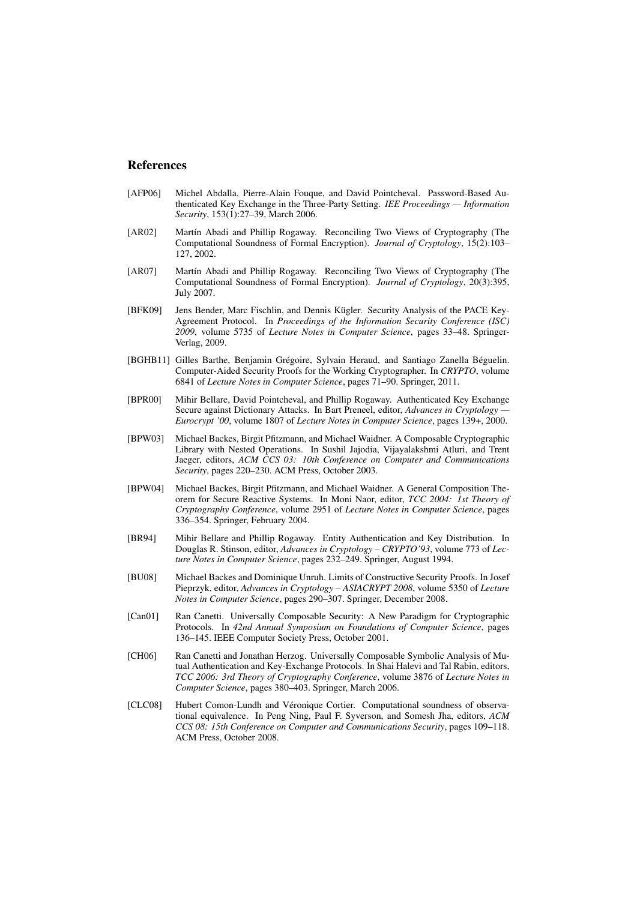#### References

- [AFP06] Michel Abdalla, Pierre-Alain Fouque, and David Pointcheval. Password-Based Authenticated Key Exchange in the Three-Party Setting. *IEE Proceedings — Information Security*, 153(1):27–39, March 2006.
- [AR02] Martín Abadi and Phillip Rogaway. Reconciling Two Views of Cryptography (The Computational Soundness of Formal Encryption). *Journal of Cryptology*, 15(2):103– 127, 2002.
- [AR07] Martín Abadi and Phillip Rogaway. Reconciling Two Views of Cryptography (The Computational Soundness of Formal Encryption). *Journal of Cryptology*, 20(3):395, July 2007.
- [BFK09] Jens Bender, Marc Fischlin, and Dennis Kügler. Security Analysis of the PACE Key-Agreement Protocol. In *Proceedings of the Information Security Conference (ISC) 2009*, volume 5735 of *Lecture Notes in Computer Science*, pages 33–48. Springer-Verlag, 2009.
- [BGHB11] Gilles Barthe, Benjamin Grégoire, Sylvain Heraud, and Santiago Zanella Béguelin. Computer-Aided Security Proofs for the Working Cryptographer. In *CRYPTO*, volume 6841 of *Lecture Notes in Computer Science*, pages 71–90. Springer, 2011.
- [BPR00] Mihir Bellare, David Pointcheval, and Phillip Rogaway. Authenticated Key Exchange Secure against Dictionary Attacks. In Bart Preneel, editor, *Advances in Cryptology — Eurocrypt '00*, volume 1807 of *Lecture Notes in Computer Science*, pages 139+, 2000.
- [BPW03] Michael Backes, Birgit Pfitzmann, and Michael Waidner. A Composable Cryptographic Library with Nested Operations. In Sushil Jajodia, Vijayalakshmi Atluri, and Trent Jaeger, editors, *ACM CCS 03: 10th Conference on Computer and Communications Security*, pages 220–230. ACM Press, October 2003.
- [BPW04] Michael Backes, Birgit Pfitzmann, and Michael Waidner. A General Composition Theorem for Secure Reactive Systems. In Moni Naor, editor, *TCC 2004: 1st Theory of Cryptography Conference*, volume 2951 of *Lecture Notes in Computer Science*, pages 336–354. Springer, February 2004.
- [BR94] Mihir Bellare and Phillip Rogaway. Entity Authentication and Key Distribution. In Douglas R. Stinson, editor, *Advances in Cryptology – CRYPTO'93*, volume 773 of *Lecture Notes in Computer Science*, pages 232–249. Springer, August 1994.
- [BU08] Michael Backes and Dominique Unruh. Limits of Constructive Security Proofs. In Josef Pieprzyk, editor, *Advances in Cryptology – ASIACRYPT 2008*, volume 5350 of *Lecture Notes in Computer Science*, pages 290–307. Springer, December 2008.
- [Can01] Ran Canetti. Universally Composable Security: A New Paradigm for Cryptographic Protocols. In *42nd Annual Symposium on Foundations of Computer Science*, pages 136–145. IEEE Computer Society Press, October 2001.
- [CH06] Ran Canetti and Jonathan Herzog. Universally Composable Symbolic Analysis of Mutual Authentication and Key-Exchange Protocols. In Shai Halevi and Tal Rabin, editors, *TCC 2006: 3rd Theory of Cryptography Conference*, volume 3876 of *Lecture Notes in Computer Science*, pages 380–403. Springer, March 2006.
- [CLC08] Hubert Comon-Lundh and Véronique Cortier. Computational soundness of observational equivalence. In Peng Ning, Paul F. Syverson, and Somesh Jha, editors, *ACM CCS 08: 15th Conference on Computer and Communications Security*, pages 109–118. ACM Press, October 2008.